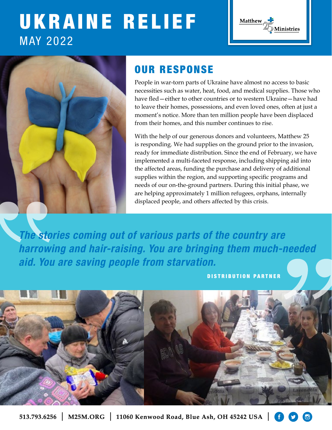# UKRAINE RELIEF MAY 2022





# OUR RESPONSE

People in war-torn parts of Ukraine have almost no access to basic necessities such as water, heat, food, and medical supplies. Those who have fled—either to other countries or to western Ukraine—have had to leave their homes, possessions, and even loved ones, often at just a moment's notice. More than ten million people have been displaced from their homes, and this number continues to rise.

With the help of our generous donors and volunteers, Matthew 25 is responding. We had supplies on the ground prior to the invasion, ready for immediate distribution. Since the end of February, we have implemented a multi-faceted response, including shipping aid into the affected areas, funding the purchase and delivery of additional supplies within the region, and supporting specific programs and needs of our on-the-ground partners. During this initial phase, we are helping approximately 1 million refugees, orphans, internally displaced people, and others affected by this crisis.

*The stories coming out of various parts of the country are harrowing and hair-raising. You are bringing them much-needed aid. You are saving people from starvation.*

DISTRIBUTION PARTNER

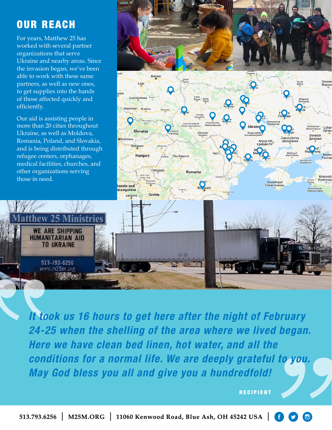### OUR REACH

For years, Matthew 25 has worked with several partner organizations that serve Ukraine and nearby areas. Since the invasion began, we've been able to work with these same partners, as well as new ones, to get supplies into the hands of those affected quickly and efficiently.

Our aid is assisting people in more than 20 cities throughout Ukraine, as well as Moldova, Romania, Poland, and Slovakia, and is being distributed through refugee centers, orphanages, medical facilities, churches, and other organizations serving those in need.

> **WE ARE SHIPPING HUMANITARIAN AID TO UKRAINE**

> > 513-793-6256 www.m25m.org



*It took us 16 hours to get here after the night of February 24-25 when the shelling of the area where we lived began. Here we have clean bed linen, hot water, and all the conditions for a normal life. We are deeply grateful to you. May God bless you all and give you a hundredfold!*

RECIPIENT